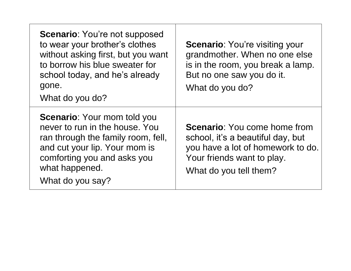| <b>Scenario:</b> You're not supposed<br>to wear your brother's clothes<br>without asking first, but you want<br>to borrow his blue sweater for<br>school today, and he's already<br>gone.<br>What do you do?     | <b>Scenario:</b> You're visiting your<br>grandmother. When no one else<br>is in the room, you break a lamp.<br>But no one saw you do it.<br>What do you do?           |
|------------------------------------------------------------------------------------------------------------------------------------------------------------------------------------------------------------------|-----------------------------------------------------------------------------------------------------------------------------------------------------------------------|
| <b>Scenario: Your mom told you</b><br>never to run in the house. You<br>ran through the family room, fell,<br>and cut your lip. Your mom is<br>comforting you and asks you<br>what happened.<br>What do you say? | <b>Scenario:</b> You come home from<br>school, it's a beautiful day, but<br>you have a lot of homework to do.<br>Your friends want to play.<br>What do you tell them? |

┰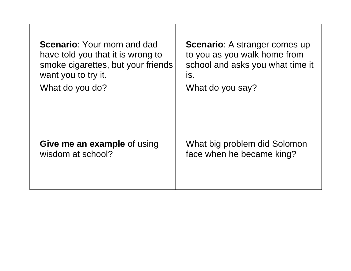| <b>Scenario: Your mom and dad</b>  | <b>Scenario:</b> A stranger comes up |
|------------------------------------|--------------------------------------|
| have told you that it is wrong to  | to you as you walk home from         |
| smoke cigarettes, but your friends | school and asks you what time it     |
| want you to try it.                | IS.                                  |
| What do you do?                    | What do you say?                     |
| Give me an example of using        | What big problem did Solomon         |
| wisdom at school?                  | face when he became king?            |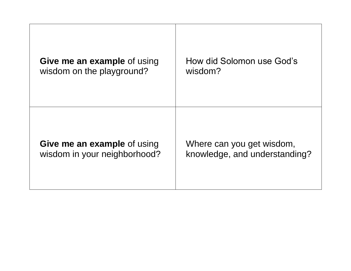| <b>Give me an example of using</b> | How did Solomon use God's     |
|------------------------------------|-------------------------------|
| wisdom on the playground?          | wisdom?                       |
| <b>Give me an example of using</b> | Where can you get wisdom,     |
| wisdom in your neighborhood?       | knowledge, and understanding? |